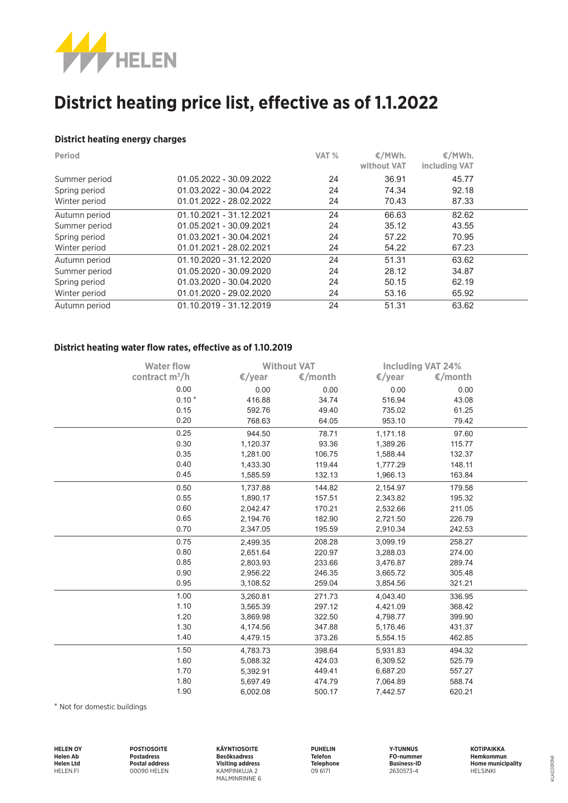

# **District heating price list, effective as of 1.1.2022**

#### **District heating energy charges**

| <b>Period</b> |                         | VAT % | €/MWh.<br>without VAT | €/MWh.<br>including VAT |  |
|---------------|-------------------------|-------|-----------------------|-------------------------|--|
| Summer period | 01.05.2022 - 30.09.2022 | 24    | 36.91                 | 45.77                   |  |
| Spring period | 01.03.2022 - 30.04.2022 | 24    | 74.34                 | 92.18                   |  |
| Winter period | 01.01.2022 - 28.02.2022 | 24    | 70.43                 | 87.33                   |  |
| Autumn period | 01.10.2021 - 31.12.2021 | 24    | 66.63                 | 82.62                   |  |
| Summer period | 01.05.2021 - 30.09.2021 | 24    | 35.12                 | 43.55                   |  |
| Spring period | 01.03.2021 - 30.04.2021 | 24    | 57.22                 | 70.95                   |  |
| Winter period | 01.01.2021 - 28.02.2021 | 24    | 54.22                 | 67.23                   |  |
| Autumn period | 01.10.2020 - 31.12.2020 | 24    | 51.31                 | 63.62                   |  |
| Summer period | 01.05.2020 - 30.09.2020 | 24    | 28.12                 | 34.87                   |  |
| Spring period | 01.03.2020 - 30.04.2020 | 24    | 50.15                 | 62.19                   |  |
| Winter period | 01.01.2020 - 29.02.2020 | 24    | 53.16                 | 65.92                   |  |
| Autumn period | 01.10.2019 - 31.12.2019 | 24    | 51.31                 | 63.62                   |  |

### **District heating water flow rates, effective as of 1.10.2019**

| <b>Water flow</b> | <b>Without VAT</b> |         | <b>Including VAT 24%</b> |         |  |
|-------------------|--------------------|---------|--------------------------|---------|--|
| contract $m^3/h$  | €/year             | €/month | $\epsilon$ /year         | €/month |  |
| 0.00              | 0.00               | 0.00    | 0.00                     | 0.00    |  |
| $0.10*$           | 416.88             | 34.74   | 516.94                   | 43.08   |  |
| 0.15              | 592.76             | 49.40   | 735.02                   | 61.25   |  |
| 0.20              | 768.63             | 64.05   | 953.10                   | 79.42   |  |
| 0.25              | 944.50             | 78.71   | 1,171.18                 | 97.60   |  |
| 0.30              | 1,120.37           | 93.36   | 1,389.26                 | 115.77  |  |
| 0.35              | 1,281.00           | 106.75  | 1,588.44                 | 132.37  |  |
| 0.40              | 1,433.30           | 119.44  | 1,777.29                 | 148.11  |  |
| 0.45              | 1,585.59           | 132.13  | 1,966.13                 | 163.84  |  |
| 0.50              | 1,737.88           | 144.82  | 2,154.97                 | 179.58  |  |
| 0.55              | 1,890.17           | 157.51  | 2,343.82                 | 195.32  |  |
| 0.60              | 2,042.47           | 170.21  | 2,532.66                 | 211.05  |  |
| 0.65              | 2,194.76           | 182.90  | 2,721.50                 | 226.79  |  |
| 0.70              | 2,347.05           | 195.59  | 2,910.34                 | 242.53  |  |
| 0.75              | 2,499.35           | 208.28  | 3,099.19                 | 258.27  |  |
| 0.80              | 2,651.64           | 220.97  | 3,288.03                 | 274.00  |  |
| 0.85              | 2,803.93           | 233.66  | 3,476.87                 | 289.74  |  |
| 0.90              | 2,956.22           | 246.35  | 3,665.72                 | 305.48  |  |
| 0.95              | 3,108.52           | 259.04  | 3,854.56                 | 321.21  |  |
| 1.00              | 3,260.81           | 271.73  | 4,043.40                 | 336.95  |  |
| 1.10              | 3,565.39           | 297.12  | 4,421.09                 | 368.42  |  |
| 1.20              | 3,869.98           | 322.50  | 4,798.77                 | 399.90  |  |
| 1.30              | 4,174.56           | 347.88  | 5,176.46                 | 431.37  |  |
| 1.40              | 4,479.15           | 373.26  | 5,554.15                 | 462.85  |  |
| 1.50              | 4,783.73           | 398.64  | 5,931.83                 | 494.32  |  |
| 1.60              | 5,088.32           | 424.03  | 6,309.52                 | 525.79  |  |
| 1.70              | 5,392.91           | 449.41  | 6,687.20                 | 557.27  |  |
| 1.80              | 5,697.49           | 474.79  | 7,064.89                 | 588.74  |  |
| 1.90              | 6,002.08           | 500.17  | 7,442.57                 | 620.21  |  |

\* Not for domestic buildings

| <b>HELEN OY</b>  | <b>POSTIOSOITE</b>    | <b>KÄYNTIOSOITE</b>     | <b>PUHELIN</b>   | <b>Y-TUNNUS</b>    | <b>KOTIPAIKKA</b> |
|------------------|-----------------------|-------------------------|------------------|--------------------|-------------------|
| <b>Helen Ab</b>  | <b>Postadress</b>     | <b>Besöksadress</b>     | <b>Telefon</b>   | FO-nummer          | Hemkommun         |
| <b>Helen Ltd</b> | <b>Postal address</b> | <b>Visiting address</b> | <b>Telephone</b> | <b>Business-ID</b> | Home municipality |
| <b>HELEN.FI</b>  | 00090 HELEN           | KAMPINKUJA 2            | 09 6171          | 2630573-4          | <b>HELSINKI</b>   |
|                  |                       | MALMINRINNE 6           |                  |                    |                   |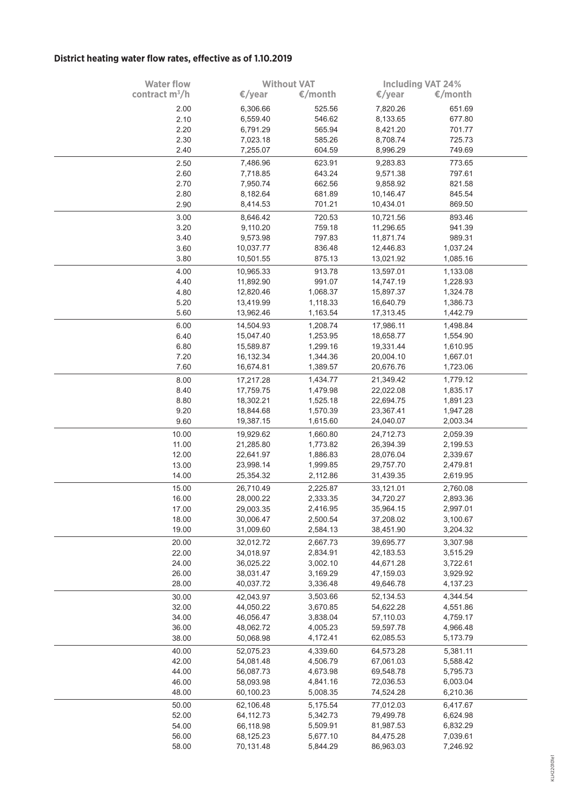## **District heating water flow rates, effective as of 1.10.2019**

| <b>Water flow</b> | <b>Without VAT</b> |          | <b>Including VAT 24%</b> |          |  |
|-------------------|--------------------|----------|--------------------------|----------|--|
| contract $m^3/h$  | €/year             | €/month  | €/year                   | €/month  |  |
|                   |                    |          |                          |          |  |
| 2.00              | 6,306.66           | 525.56   | 7,820.26                 | 651.69   |  |
| 2.10              | 6,559.40           | 546.62   | 8,133.65                 | 677.80   |  |
| 2.20              | 6,791.29           | 565.94   | 8,421.20                 | 701.77   |  |
| 2.30              | 7,023.18           | 585.26   | 8,708.74                 | 725.73   |  |
| 2.40              | 7,255.07           | 604.59   | 8,996.29                 | 749.69   |  |
| 2.50              | 7,486.96           | 623.91   | 9,283.83                 | 773.65   |  |
| 2.60              | 7,718.85           | 643.24   | 9,571.38                 | 797.61   |  |
| 2.70              | 7,950.74           | 662.56   | 9,858.92                 | 821.58   |  |
| 2.80              | 8,182.64           | 681.89   | 10,146.47                | 845.54   |  |
| 2.90              | 8,414.53           | 701.21   | 10,434.01                | 869.50   |  |
| 3.00              | 8,646.42           | 720.53   | 10,721.56                | 893.46   |  |
| 3.20              | 9,110.20           | 759.18   | 11,296.65                | 941.39   |  |
| 3.40              | 9,573.98           | 797.83   | 11,871.74                | 989.31   |  |
| 3.60              | 10,037.77          | 836.48   | 12,446.83                | 1,037.24 |  |
| 3.80              | 10,501.55          | 875.13   | 13,021.92                | 1,085.16 |  |
|                   |                    |          |                          |          |  |
| 4.00              | 10,965.33          | 913.78   | 13,597.01                | 1,133.08 |  |
| 4.40              | 11,892.90          | 991.07   | 14,747.19                | 1,228.93 |  |
| 4.80              | 12,820.46          | 1,068.37 | 15,897.37                | 1,324.78 |  |
| 5.20              | 13,419.99          | 1,118.33 | 16,640.79                | 1,386.73 |  |
| 5.60              | 13,962.46          | 1,163.54 | 17,313.45                | 1,442.79 |  |
| 6.00              | 14,504.93          | 1,208.74 | 17,986.11                | 1,498.84 |  |
| 6.40              | 15,047.40          | 1,253.95 | 18,658.77                | 1,554.90 |  |
| 6.80              | 15,589.87          | 1,299.16 | 19,331.44                | 1,610.95 |  |
| 7.20              | 16,132.34          | 1,344.36 | 20,004.10                | 1,667.01 |  |
| 7.60              | 16,674.81          | 1,389.57 | 20,676.76                | 1,723.06 |  |
|                   |                    |          |                          |          |  |
| 8.00              | 17,217.28          | 1,434.77 | 21,349.42                | 1,779.12 |  |
| 8.40              | 17,759.75          | 1,479.98 | 22,022.08                | 1,835.17 |  |
| 8.80              | 18,302.21          | 1,525.18 | 22,694.75                | 1,891.23 |  |
| 9.20              | 18,844.68          | 1,570.39 | 23,367.41                | 1,947.28 |  |
| 9.60              | 19,387.15          | 1,615.60 | 24,040.07                | 2,003.34 |  |
| 10.00             | 19,929.62          | 1,660.80 | 24,712.73                | 2,059.39 |  |
| 11.00             | 21,285.80          | 1,773.82 | 26,394.39                | 2,199.53 |  |
| 12.00             | 22,641.97          | 1,886.83 | 28,076.04                | 2,339.67 |  |
| 13.00             | 23,998.14          | 1,999.85 | 29,757.70                | 2,479.81 |  |
| 14.00             | 25,354.32          | 2,112.86 | 31,439.35                | 2,619.95 |  |
| 15.00             | 26,710.49          | 2,225.87 | 33,121.01                | 2,760.08 |  |
| 16.00             | 28,000.22          | 2,333.35 | 34,720.27                | 2,893.36 |  |
| 17.00             | 29,003.35          | 2,416.95 | 35,964.15                | 2,997.01 |  |
| 18.00             | 30,006.47          | 2,500.54 | 37,208.02                | 3,100.67 |  |
| 19.00             | 31,009.60          | 2,584.13 | 38,451.90                | 3,204.32 |  |
|                   |                    |          |                          |          |  |
| 20.00             | 32,012.72          | 2,667.73 | 39,695.77                | 3,307.98 |  |
| 22.00             | 34,018.97          | 2,834.91 | 42,183.53                | 3,515.29 |  |
| 24.00             | 36,025.22          | 3,002.10 | 44,671.28                | 3,722.61 |  |
| 26.00             | 38,031.47          | 3,169.29 | 47,159.03                | 3,929.92 |  |
| 28.00             | 40,037.72          | 3,336.48 | 49,646.78                | 4,137.23 |  |
| 30.00             | 42,043.97          | 3,503.66 | 52,134.53                | 4,344.54 |  |
| 32.00             | 44,050.22          | 3,670.85 | 54,622.28                | 4,551.86 |  |
| 34.00             | 46,056.47          | 3,838.04 | 57,110.03                | 4,759.17 |  |
| 36.00             | 48,062.72          | 4,005.23 | 59,597.78                | 4,966.48 |  |
| 38.00             | 50,068.98          | 4,172.41 | 62,085.53                | 5,173.79 |  |
| 40.00             | 52,075.23          | 4,339.60 | 64,573.28                | 5,381.11 |  |
| 42.00             | 54,081.48          | 4,506.79 | 67,061.03                | 5,588.42 |  |
| 44.00             | 56,087.73          | 4,673.98 | 69,548.78                | 5,795.73 |  |
| 46.00             | 58,093.98          | 4,841.16 | 72,036.53                | 6,003.04 |  |
| 48.00             |                    |          |                          |          |  |
|                   | 60,100.23          | 5,008.35 | 74,524.28                | 6,210.36 |  |
| 50.00             | 62,106.48          | 5,175.54 | 77,012.03                | 6,417.67 |  |
| 52.00             | 64,112.73          | 5,342.73 | 79,499.78                | 6,624.98 |  |
| 54.00             | 66,118.98          | 5,509.91 | 81,987.53                | 6,832.29 |  |
| 56.00             | 68,125.23          | 5,677.10 | 84,475.28                | 7,039.61 |  |
| 58.00             | 70,131.48          | 5,844.29 | 86,963.03                | 7,246.92 |  |